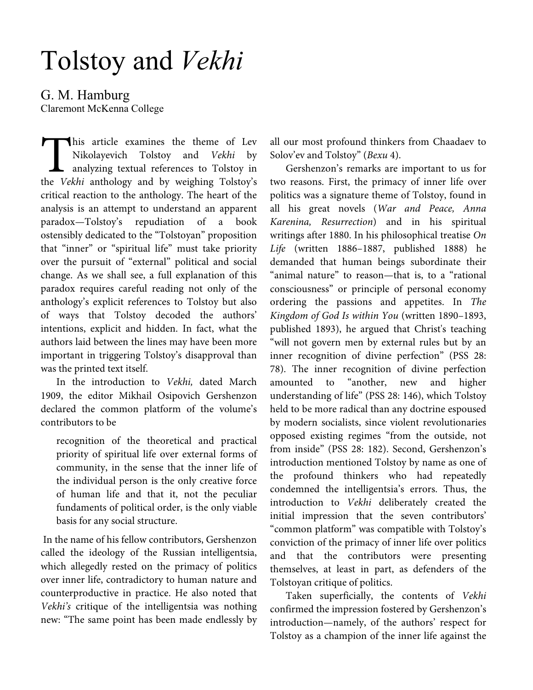# Tolstoy and *Vekhi*

G. M. Hamburg

Claremont McKenna College

his article examines the theme of Lev Nikolayevich Tolstoy and Vekhi by **L** analyzing textual references to Tolstoy in This article examines the theme of Lev<br>Nikolayevich Tolstoy and *Vekhi* by<br>analyzing textual references to Tolstoy in<br>the *Vekhi* anthology and by weighing Tolstoy's critical reaction to the anthology. The heart of the analysis is an attempt to understand an apparent paradox—Tolstoy's repudiation of a book ostensibly dedicated to the "Tolstoyan" proposition that "inner" or "spiritual life" must take priority over the pursuit of "external" political and social change. As we shall see, a full explanation of this paradox requires careful reading not only of the anthology's explicit references to Tolstoy but also of ways that Tolstoy decoded the authors' intentions, explicit and hidden. In fact, what the authors laid between the lines may have been more important in triggering Tolstoy's disapproval than was the printed text itself.

In the introduction to Vekhi, dated March 1909, the editor Mikhail Osipovich Gershenzon declared the common platform of the volume's contributors to be

recognition of the theoretical and practical priority of spiritual life over external forms of community, in the sense that the inner life of the individual person is the only creative force of human life and that it, not the peculiar fundaments of political order, is the only viable basis for any social structure.

 In the name of his fellow contributors, Gershenzon called the ideology of the Russian intelligentsia, which allegedly rested on the primacy of politics over inner life, contradictory to human nature and counterproductive in practice. He also noted that Vekhi's critique of the intelligentsia was nothing new: "The same point has been made endlessly by

all our most profound thinkers from Chaadaev to Solov'ev and Tolstoy" (Вехи 4).

Gershenzon's remarks are important to us for two reasons. First, the primacy of inner life over politics was a signature theme of Tolstoy, found in all his great novels (War and Peace, Anna Karenina, Resurrection) and in his spiritual writings after 1880. In his philosophical treatise On Life (written 1886–1887, published 1888) he demanded that human beings subordinate their "animal nature" to reason—that is, to a "rational consciousness" or principle of personal economy ordering the passions and appetites. In The Kingdom of God Is within You (written 1890–1893, published 1893), he argued that Christ's teaching "will not govern men by external rules but by an inner recognition of divine perfection" (PSS 28: 78). The inner recognition of divine perfection amounted to "another, new and higher understanding of life" (PSS 28: 146), which Tolstoy held to be more radical than any doctrine espoused by modern socialists, since violent revolutionaries opposed existing regimes "from the outside, not from inside" (PSS 28: 182). Second, Gershenzon's introduction mentioned Tolstoy by name as one of the profound thinkers who had repeatedly condemned the intelligentsia's errors. Thus, the introduction to Vekhi deliberately created the initial impression that the seven contributors' "common platform" was compatible with Tolstoy's conviction of the primacy of inner life over politics and that the contributors were presenting themselves, at least in part, as defenders of the Tolstoyan critique of politics.

Taken superficially, the contents of Vekhi confirmed the impression fostered by Gershenzon's introduction—namely, of the authors' respect for Tolstoy as a champion of the inner life against the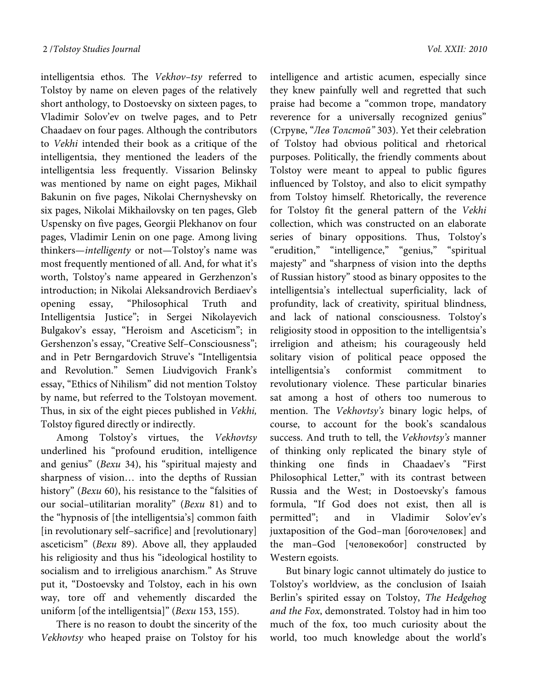intelligentsia ethos. The Vekhov–tsy referred to Tolstoy by name on eleven pages of the relatively short anthology, to Dostoevsky on sixteen pages, to Vladimir Solov'ev on twelve pages, and to Petr Chaadaev on four pages. Although the contributors to Vekhi intended their book as a critique of the intelligentsia, they mentioned the leaders of the intelligentsia less frequently. Vissarion Belinsky was mentioned by name on eight pages, Mikhail Bakunin on five pages, Nikolai Chernyshevsky on six pages, Nikolai Mikhailovsky on ten pages, Gleb Uspensky on five pages, Georgii Plekhanov on four pages, Vladimir Lenin on one page. Among living thinkers—intelligenty or not—Tolstoy's name was most frequently mentioned of all. And, for what it's worth, Tolstoy's name appeared in Gerzhenzon's introduction; in Nikolai Aleksandrovich Berdiaev's opening essay, "Philosophical Truth and Intelligentsia Justice"; in Sergei Nikolayevich Bulgakov's essay, "Heroism and Asceticism"; in Gershenzon's essay, "Creative Self–Consciousness"; and in Petr Berngardovich Struve's "Intelligentsia and Revolution." Semen Liudvigovich Frank's essay, "Ethics of Nihilism" did not mention Tolstoy by name, but referred to the Tolstoyan movement. Thus, in six of the eight pieces published in Vekhi, Tolstoy figured directly or indirectly.

Among Tolstoy's virtues, the Vekhovtsy underlined his "profound erudition, intelligence and genius" (Bexu 34), his "spiritual majesty and sharpness of vision… into the depths of Russian history" (Bexu 60), his resistance to the "falsities of our social–utilitarian morality" (Вехи 81) and to the "hypnosis of [the intelligentsia's] common faith [in revolutionary self–sacrifice] and [revolutionary] asceticism" (Bexu 89). Above all, they applauded his religiosity and thus his "ideological hostility to socialism and to irreligious anarchism." As Struve put it, "Dostoevsky and Tolstoy, each in his own way, tore off and vehemently discarded the uniform [of the intelligentsia]" (Bexu 153, 155).

There is no reason to doubt the sincerity of the Vekhovtsy who heaped praise on Tolstoy for his

intelligence and artistic acumen, especially since they knew painfully well and regretted that such praise had become a "common trope, mandatory reverence for a universally recognized genius" (Струве, "Лев Толстой" 303). Yet their celebration of Tolstoy had obvious political and rhetorical purposes. Politically, the friendly comments about Tolstoy were meant to appeal to public figures influenced by Tolstoy, and also to elicit sympathy from Tolstoy himself. Rhetorically, the reverence for Tolstoy fit the general pattern of the Vekhi collection, which was constructed on an elaborate series of binary oppositions. Thus, Tolstoy's "erudition," "intelligence," "genius," "spiritual majesty" and "sharpness of vision into the depths of Russian history" stood as binary opposites to the intelligentsia's intellectual superficiality, lack of profundity, lack of creativity, spiritual blindness, and lack of national consciousness. Tolstoy's religiosity stood in opposition to the intelligentsia's irreligion and atheism; his courageously held solitary vision of political peace opposed the intelligentsia's conformist commitment to revolutionary violence. These particular binaries sat among a host of others too numerous to mention. The Vekhovtsy's binary logic helps, of course, to account for the book's scandalous success. And truth to tell, the Vekhovtsy's manner of thinking only replicated the binary style of thinking one finds in Chaadaev's "First Philosophical Letter," with its contrast between Russia and the West; in Dostoevsky's famous formula, "If God does not exist, then all is permitted"; and in Vladimir Solov'ev's juxtaposition of the God–man [богочеловек] and the man–God [человекобог] constructed by Western egoists.

But binary logic cannot ultimately do justice to Tolstoy's worldview, as the conclusion of Isaiah Berlin's spirited essay on Tolstoy, The Hedgehog and the Fox, demonstrated. Tolstoy had in him too much of the fox, too much curiosity about the world, too much knowledge about the world's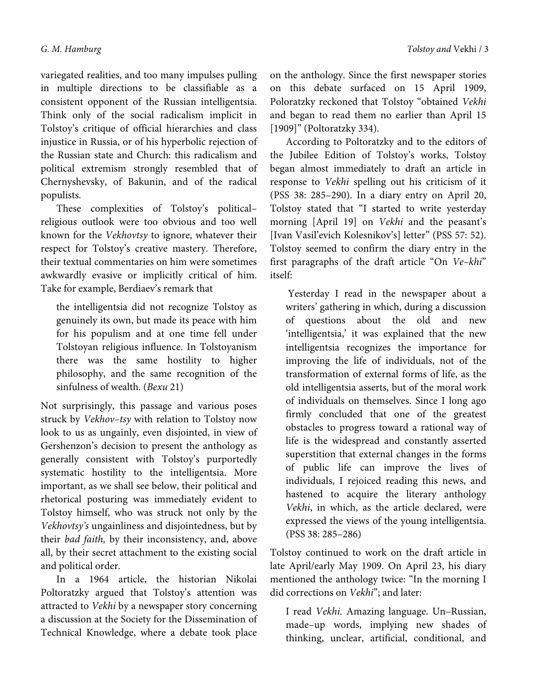variegated realities, and too many impulses pulling in multiple directions to be classifiable as a consistent opponent of the Russian intelligentsia. Think only of the social radicalism implicit in Tolstoy's critique of official hierarchies and class injustice in Russia, or of his hyperbolic rejection of the Russian state and Church: this radicalism and political extremism strongly resembled that of Chernyshevsky, of Bakunin, and of the radical populists.

These complexities of Tolstoy's political– religious outlook were too obvious and too well known for the Vekhovtsy to ignore, whatever their respect for Tolstoy's creative mastery. Therefore, their textual commentaries on him were sometimes awkwardly evasive or implicitly critical of him. Take for example, Berdiaev's remark that

the intelligentsia did not recognize Tolstoy as genuinely its own, but made its peace with him for his populism and at one time fell under Tolstoyan religious influence. In Tolstoyanism there was the same hostility to higher philosophy, and the same recognition of the sinfulness of wealth. (Bexu 21)

Not surprisingly, this passage and various poses struck by Vekhov–tsy with relation to Tolstoy now look to us as ungainly, even disjointed, in view of Gershenzon's decision to present the anthology as generally consistent with Tolstoy's purportedly systematic hostility to the intelligentsia. More important, as we shall see below, their political and rhetorical posturing was immediately evident to Tolstoy himself, who was struck not only by the Vekhovtsy's ungainliness and disjointedness, but by their bad faith, by their inconsistency, and, above all, by their secret attachment to the existing social and political order.

In a 1964 article, the historian Nikolai Poltoratzky argued that Tolstoy's attention was attracted to Vekhi by a newspaper story concerning a discussion at the Society for the Dissemination of Technical Knowledge, where a debate took place

on the anthology. Since the first newspaper stories on this debate surfaced on 15 April 1909, Poloratzky reckoned that Tolstoy "obtained Vekhi and began to read them no earlier than April 15 [1909]" (Poltoratzky 334).

According to Poltoratzky and to the editors of the Jubilee Edition of Tolstoy's works, Tolstoy began almost immediately to draft an article in response to Vekhi spelling out his criticism of it (PSS 38: 285–290). In a diary entry on April 20, Tolstoy stated that "I started to write yesterday morning [April 19] on Vekhi and the peasant's [Ivan Vasil'evich Kolesnikov's] letter" (PSS 57: 52). Tolstoy seemed to confirm the diary entry in the first paragraphs of the draft article "On Ve–khi" itself:

 Yesterday I read in the newspaper about a writers' gathering in which, during a discussion of questions about the old and new 'intelligentsia,' it was explained that the new intelligentsia recognizes the importance for improving the life of individuals, not of the transformation of external forms of life, as the old intelligentsia asserts, but of the moral work of individuals on themselves. Since I long ago firmly concluded that one of the greatest obstacles to progress toward a rational way of life is the widespread and constantly asserted superstition that external changes in the forms of public life can improve the lives of individuals, I rejoiced reading this news, and hastened to acquire the literary anthology Vekhi, in which, as the article declared, were expressed the views of the young intelligentsia. (PSS 38: 285–286)

Tolstoy continued to work on the draft article in late April/early May 1909. On April 23, his diary mentioned the anthology twice: "In the morning I did corrections on Vekhi"; and later:

I read Vekhi. Amazing language. Un–Russian, made–up words, implying new shades of thinking, unclear, artificial, conditional, and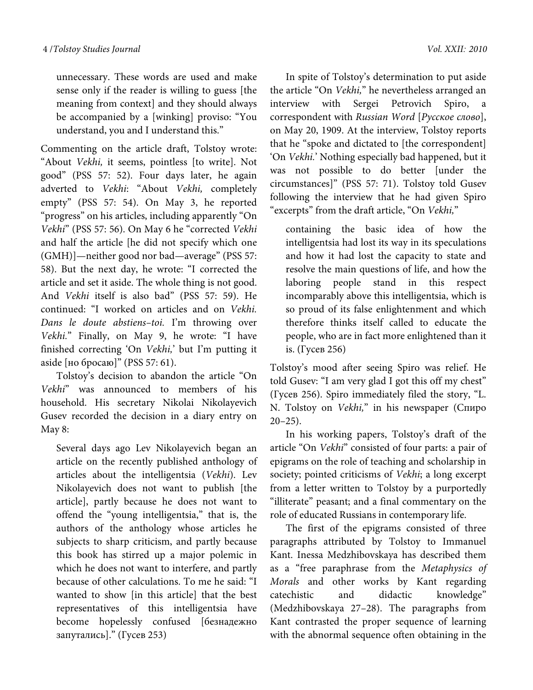unnecessary. These words are used and make sense only if the reader is willing to guess [the meaning from context] and they should always be accompanied by a [winking] proviso: "You understand, you and I understand this."

Commenting on the article draft, Tolstoy wrote: "About Vekhi, it seems, pointless [to write]. Not good" (PSS 57: 52). Four days later, he again adverted to Vekhi: "About Vekhi, completely empty" (PSS 57: 54). On May 3, he reported "progress" on his articles, including apparently "On Vekhi" (PSS 57: 56). On May 6 he "corrected Vekhi and half the article [he did not specify which one (GMH)]—neither good nor bad—average" (PSS 57: 58). But the next day, he wrote: "I corrected the article and set it aside. The whole thing is not good. And Vekhi itself is also bad" (PSS 57: 59). He continued: "I worked on articles and on Vekhi. Dans le doute abstiens–toi. I'm throwing over Vekhi." Finally, on May 9, he wrote: "I have finished correcting 'On Vekhi,' but I'm putting it aside [но бросаю]" (PSS 57: 61).

Tolstoy's decision to abandon the article "On Vekhi" was announced to members of his household. His secretary Nikolai Nikolayevich Gusev recorded the decision in a diary entry on May 8:

Several days ago Lev Nikolayevich began an article on the recently published anthology of articles about the intelligentsia (Vekhi). Lev Nikolayevich does not want to publish [the article], partly because he does not want to offend the "young intelligentsia," that is, the authors of the anthology whose articles he subjects to sharp criticism, and partly because this book has stirred up a major polemic in which he does not want to interfere, and partly because of other calculations. To me he said: "I wanted to show [in this article] that the best representatives of this intelligentsia have become hopelessly confused [безнадежно запутались]." (Гусев 253)

In spite of Tolstoy's determination to put aside the article "On Vekhi," he nevertheless arranged an interview with Sergei Petrovich Spiro, a correspondent with Russian Word [Русское слово], on May 20, 1909. At the interview, Tolstoy reports that he "spoke and dictated to [the correspondent] 'On Vekhi.' Nothing especially bad happened, but it was not possible to do better [under the circumstances]" (PSS 57: 71). Tolstoy told Gusev following the interview that he had given Spiro "excerpts" from the draft article, "On Vekhi,"

containing the basic idea of how the intelligentsia had lost its way in its speculations and how it had lost the capacity to state and resolve the main questions of life, and how the laboring people stand in this respect incomparably above this intelligentsia, which is so proud of its false enlightenment and which therefore thinks itself called to educate the people, who are in fact more enlightened than it is. (Гусев 256)

Tolstoy's mood after seeing Spiro was relief. He told Gusev: "I am very glad I got this off my chest" (Гусев 256). Spiro immediately filed the story, "L. N. Tolstoy on Vekhi," in his newspaper (Спиро  $20-25$ ).

In his working papers, Tolstoy's draft of the article "On Vekhi" consisted of four parts: a pair of epigrams on the role of teaching and scholarship in society; pointed criticisms of Vekhi; a long excerpt from a letter written to Tolstoy by a purportedly "illiterate" peasant; and a final commentary on the role of educated Russians in contemporary life.

The first of the epigrams consisted of three paragraphs attributed by Tolstoy to Immanuel Kant. Inessa Medzhibovskaya has described them as a "free paraphrase from the Metaphysics of Morals and other works by Kant regarding catechistic and didactic knowledge" (Medzhibovskaya 27–28). The paragraphs from Kant contrasted the proper sequence of learning with the abnormal sequence often obtaining in the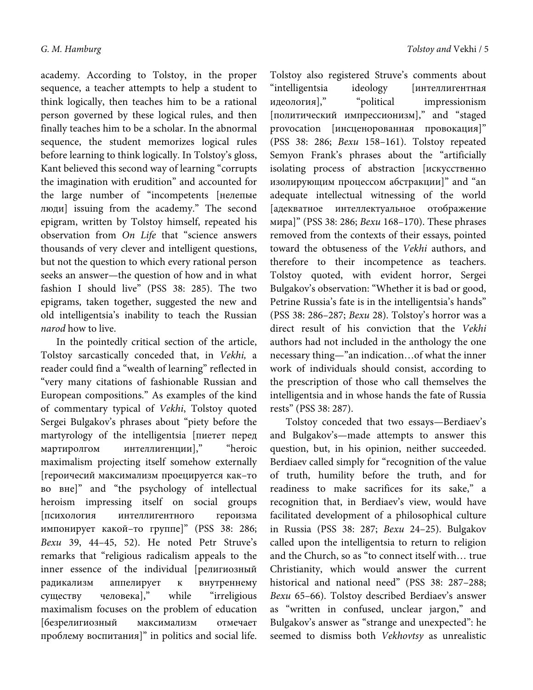academy. According to Tolstoy, in the proper sequence, a teacher attempts to help a student to think logically, then teaches him to be a rational person governed by these logical rules, and then finally teaches him to be a scholar. In the abnormal sequence, the student memorizes logical rules before learning to think logically. In Tolstoy's gloss, Kant believed this second way of learning "corrupts the imagination with erudition" and accounted for the large number of "incompetents [нелепые люди] issuing from the academy." The second epigram, written by Tolstoy himself, repeated his observation from On Life that "science answers thousands of very clever and intelligent questions, but not the question to which every rational person seeks an answer—the question of how and in what fashion I should live" (PSS 38: 285). The two epigrams, taken together, suggested the new and old intelligentsia's inability to teach the Russian narod how to live.

In the pointedly critical section of the article, Tolstoy sarcastically conceded that, in Vekhi, a reader could find a "wealth of learning" reflected in "very many citations of fashionable Russian and European compositions." As examples of the kind of commentary typical of Vekhi, Tolstoy quoted Sergei Bulgakov's phrases about "piety before the martyrology of the intelligentsia [пиетет перед мартиролгом интеллигенции]," "heroic maximalism projecting itself somehow externally [героичесий максимализм проецируется как–то во вне]" and "the psychology of intellectual heroism impressing itself on social groups [психология интеллигентного героизма импонирует какой–то группе]" (PSS 38: 286; Вехи 39, 44–45, 52). He noted Petr Struve's remarks that "religious radicalism appeals to the inner essence of the individual [религиозный радикализм аппелирует к внутреннему существу человека]," while "irreligious maximalism focuses on the problem of education [безрелигиозный максимализм отмечает проблему воспитания]" in politics and social life. Tolstoy also registered Struve's comments about "intelligentsia ideology [интеллигентная идеология]," "political impressionism [политический импрессионизм]," and "staged provocation [инсценорованная провокация]" (PSS 38: 286; Вехи 158–161). Tolstoy repeated Semyon Frank's phrases about the "artificially isolating process of abstraction [искусственно изолирующим процессом абстракции]" and "an adequate intellectual witnessing of the world [адекватное интеллектуальное отображение мира]" (PSS 38: 286; Вехи 168–170). These phrases removed from the contexts of their essays, pointed toward the obtuseness of the Vekhi authors, and therefore to their incompetence as teachers. Tolstoy quoted, with evident horror, Sergei Bulgakov's observation: "Whether it is bad or good, Petrine Russia's fate is in the intelligentsia's hands" (PSS 38: 286–287; Вехи 28). Tolstoy's horror was a direct result of his conviction that the Vekhi authors had not included in the anthology the one necessary thing—"an indication…of what the inner work of individuals should consist, according to the prescription of those who call themselves the intelligentsia and in whose hands the fate of Russia rests" (PSS 38: 287).

Tolstoy conceded that two essays—Berdiaev's and Bulgakov's—made attempts to answer this question, but, in his opinion, neither succeeded. Berdiaev called simply for "recognition of the value of truth, humility before the truth, and for readiness to make sacrifices for its sake," a recognition that, in Berdiaev's view, would have facilitated development of a philosophical culture in Russia (PSS 38: 287; Вехи 24–25). Bulgakov called upon the intelligentsia to return to religion and the Church, so as "to connect itself with… true Christianity, which would answer the current historical and national need" (PSS 38: 287–288; Вехи 65–66). Tolstoy described Berdiaev's answer as "written in confused, unclear jargon," and Bulgakov's answer as "strange and unexpected": he seemed to dismiss both Vekhovtsy as unrealistic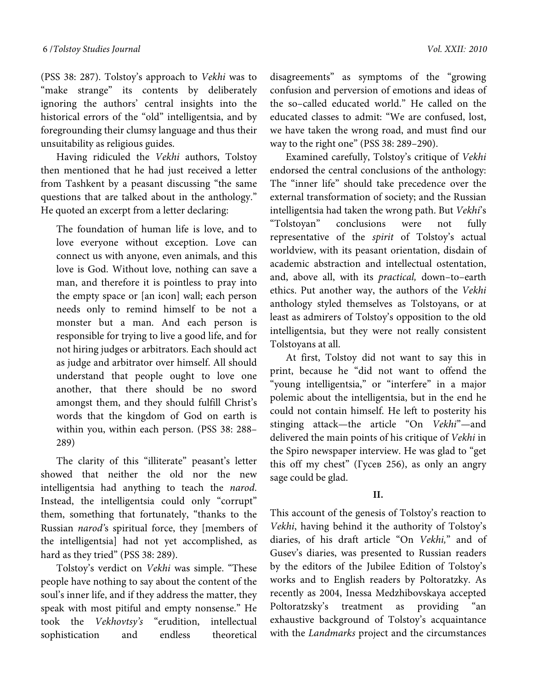(PSS 38: 287). Tolstoy's approach to Vekhi was to "make strange" its contents by deliberately ignoring the authors' central insights into the historical errors of the "old" intelligentsia, and by foregrounding their clumsy language and thus their unsuitability as religious guides.

Having ridiculed the Vekhi authors, Tolstoy then mentioned that he had just received a letter from Tashkent by a peasant discussing "the same questions that are talked about in the anthology." He quoted an excerpt from a letter declaring:

The foundation of human life is love, and to love everyone without exception. Love can connect us with anyone, even animals, and this love is God. Without love, nothing can save a man, and therefore it is pointless to pray into the empty space or [an icon] wall; each person needs only to remind himself to be not a monster but a man. And each person is responsible for trying to live a good life, and for not hiring judges or arbitrators. Each should act as judge and arbitrator over himself. All should understand that people ought to love one another, that there should be no sword amongst them, and they should fulfill Christ's words that the kingdom of God on earth is within you, within each person. (PSS 38: 288– 289)

The clarity of this "illiterate" peasant's letter showed that neither the old nor the new intelligentsia had anything to teach the narod. Instead, the intelligentsia could only "corrupt" them, something that fortunately, "thanks to the Russian narod's spiritual force, they [members of the intelligentsia] had not yet accomplished, as hard as they tried" (PSS 38: 289).

Tolstoy's verdict on Vekhi was simple. "These people have nothing to say about the content of the soul's inner life, and if they address the matter, they speak with most pitiful and empty nonsense." He took the Vekhovtsy's "erudition, intellectual sophistication and endless theoretical disagreements" as symptoms of the "growing confusion and perversion of emotions and ideas of the so–called educated world." He called on the educated classes to admit: "We are confused, lost, we have taken the wrong road, and must find our way to the right one" (PSS 38: 289–290).

Examined carefully, Tolstoy's critique of Vekhi endorsed the central conclusions of the anthology: The "inner life" should take precedence over the external transformation of society; and the Russian intelligentsia had taken the wrong path. But Vekhi's "Tolstoyan" conclusions were not fully representative of the spirit of Tolstoy's actual worldview, with its peasant orientation, disdain of academic abstraction and intellectual ostentation, and, above all, with its practical, down–to–earth ethics. Put another way, the authors of the Vekhi anthology styled themselves as Tolstoyans, or at least as admirers of Tolstoy's opposition to the old intelligentsia, but they were not really consistent Tolstoyans at all.

At first, Tolstoy did not want to say this in print, because he "did not want to offend the "young intelligentsia," or "interfere" in a major polemic about the intelligentsia, but in the end he could not contain himself. He left to posterity his stinging attack—the article "On Vekhi"—and delivered the main points of his critique of Vekhi in the Spiro newspaper interview. He was glad to "get this off my chest" (Гусев 256), as only an angry sage could be glad.

# **II.**

This account of the genesis of Tolstoy's reaction to Vekhi, having behind it the authority of Tolstoy's diaries, of his draft article "On Vekhi," and of Gusev's diaries, was presented to Russian readers by the editors of the Jubilee Edition of Tolstoy's works and to English readers by Poltoratzky. As recently as 2004, Inessa Medzhibovskaya accepted Poltoratzsky's treatment as providing "an exhaustive background of Tolstoy's acquaintance with the Landmarks project and the circumstances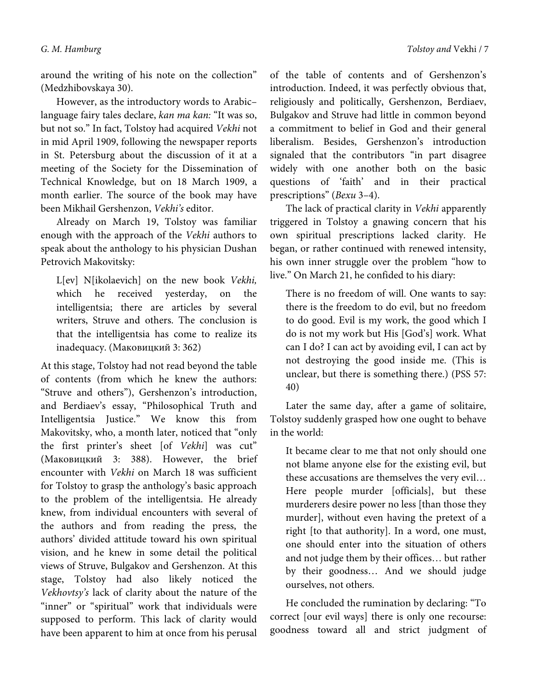around the writing of his note on the collection" (Medzhibovskaya 30).

However, as the introductory words to Arabic– language fairy tales declare, kan ma kan: "It was so, but not so." In fact, Tolstoy had acquired Vekhi not in mid April 1909, following the newspaper reports in St. Petersburg about the discussion of it at a meeting of the Society for the Dissemination of Technical Knowledge, but on 18 March 1909, a month earlier. The source of the book may have been Mikhail Gershenzon, Vekhi's editor.

Already on March 19, Tolstoy was familiar enough with the approach of the Vekhi authors to speak about the anthology to his physician Dushan Petrovich Makovitsky:

L[ev] N[ikolaevich] on the new book Vekhi, which he received yesterday, on the intelligentsia; there are articles by several writers, Struve and others. The conclusion is that the intelligentsia has come to realize its inadequacy. (Маковицкий 3: 362)

At this stage, Tolstoy had not read beyond the table of contents (from which he knew the authors: "Struve and others"), Gershenzon's introduction, and Berdiaev's essay, "Philosophical Truth and Intelligentsia Justice." We know this from Makovitsky, who, a month later, noticed that "only the first printer's sheet [of Vekhi] was cut" (Маковицкий 3: 388). However, the brief encounter with Vekhi on March 18 was sufficient for Tolstoy to grasp the anthology's basic approach to the problem of the intelligentsia. He already knew, from individual encounters with several of the authors and from reading the press, the authors' divided attitude toward his own spiritual vision, and he knew in some detail the political views of Struve, Bulgakov and Gershenzon. At this stage, Tolstoy had also likely noticed the Vekhovtsy's lack of clarity about the nature of the "inner" or "spiritual" work that individuals were supposed to perform. This lack of clarity would have been apparent to him at once from his perusal

of the table of contents and of Gershenzon's introduction. Indeed, it was perfectly obvious that, religiously and politically, Gershenzon, Berdiaev, Bulgakov and Struve had little in common beyond a commitment to belief in God and their general liberalism. Besides, Gershenzon's introduction signaled that the contributors "in part disagree widely with one another both on the basic questions of 'faith' and in their practical prescriptions" (Вехи 3–4).

The lack of practical clarity in Vekhi apparently triggered in Tolstoy a gnawing concern that his own spiritual prescriptions lacked clarity. He began, or rather continued with renewed intensity, his own inner struggle over the problem "how to live." On March 21, he confided to his diary:

There is no freedom of will. One wants to say: there is the freedom to do evil, but no freedom to do good. Evil is my work, the good which I do is not my work but His [God's] work. What can I do? I can act by avoiding evil, I can act by not destroying the good inside me. (This is unclear, but there is something there.) (PSS 57: 40)

Later the same day, after a game of solitaire, Tolstoy suddenly grasped how one ought to behave in the world:

It became clear to me that not only should one not blame anyone else for the existing evil, but these accusations are themselves the very evil… Here people murder [officials], but these murderers desire power no less [than those they murder], without even having the pretext of a right [to that authority]. In a word, one must, one should enter into the situation of others and not judge them by their offices… but rather by their goodness… And we should judge ourselves, not others.

He concluded the rumination by declaring: "To correct [our evil ways] there is only one recourse: goodness toward all and strict judgment of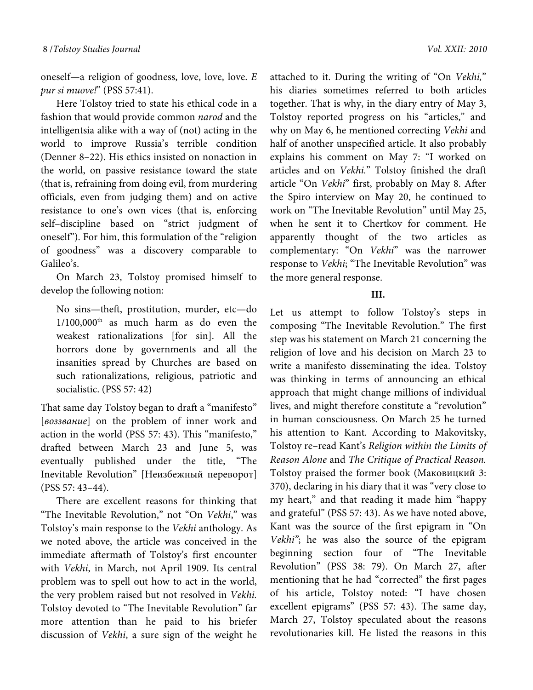oneself—a religion of goodness, love, love, love. E pur si muove!" (PSS 57:41).

Here Tolstoy tried to state his ethical code in a fashion that would provide common narod and the intelligentsia alike with a way of (not) acting in the world to improve Russia's terrible condition (Denner 8–22). His ethics insisted on nonaction in the world, on passive resistance toward the state (that is, refraining from doing evil, from murdering officials, even from judging them) and on active resistance to one's own vices (that is, enforcing self–discipline based on "strict judgment of oneself"). For him, this formulation of the "religion of goodness" was a discovery comparable to Galileo's.

On March 23, Tolstoy promised himself to develop the following notion:

No sins—theft, prostitution, murder, etc—do  $1/100,000$ <sup>th</sup> as much harm as do even the weakest rationalizations [for sin]. All the horrors done by governments and all the insanities spread by Churches are based on such rationalizations, religious, patriotic and socialistic. (PSS 57: 42)

That same day Tolstoy began to draft a "manifesto" [воззвание] on the problem of inner work and action in the world (PSS 57: 43). This "manifesto," drafted between March 23 and June 5, was eventually published under the title, "The Inevitable Revolution" [Неизбежный переворот] (PSS 57: 43–44).

There are excellent reasons for thinking that "The Inevitable Revolution," not "On Vekhi," was Tolstoy's main response to the Vekhi anthology. As we noted above, the article was conceived in the immediate aftermath of Tolstoy's first encounter with Vekhi, in March, not April 1909. Its central problem was to spell out how to act in the world, the very problem raised but not resolved in Vekhi. Tolstoy devoted to "The Inevitable Revolution" far more attention than he paid to his briefer discussion of Vekhi, a sure sign of the weight he

attached to it. During the writing of "On Vekhi," his diaries sometimes referred to both articles together. That is why, in the diary entry of May 3, Tolstoy reported progress on his "articles," and why on May 6, he mentioned correcting Vekhi and half of another unspecified article. It also probably explains his comment on May 7: "I worked on articles and on Vekhi." Tolstoy finished the draft article "On Vekhi" first, probably on May 8. After the Spiro interview on May 20, he continued to work on "The Inevitable Revolution" until May 25, when he sent it to Chertkov for comment. He apparently thought of the two articles as complementary: "On Vekhi" was the narrower response to Vekhi; "The Inevitable Revolution" was the more general response.

### **III.**

Let us attempt to follow Tolstoy's steps in composing "The Inevitable Revolution." The first step was his statement on March 21 concerning the religion of love and his decision on March 23 to write a manifesto disseminating the idea. Tolstoy was thinking in terms of announcing an ethical approach that might change millions of individual lives, and might therefore constitute a "revolution" in human consciousness. On March 25 he turned his attention to Kant. According to Makovitsky, Tolstoy re–read Kant's Religion within the Limits of Reason Alone and The Critique of Practical Reason. Tolstoy praised the former book (Маковицкий 3: 370), declaring in his diary that it was "very close to my heart," and that reading it made him "happy and grateful" (PSS 57: 43). As we have noted above, Kant was the source of the first epigram in "On Vekhi"; he was also the source of the epigram beginning section four of "The Inevitable Revolution" (PSS 38: 79). On March 27, after mentioning that he had "corrected" the first pages of his article, Tolstoy noted: "I have chosen excellent epigrams" (PSS 57: 43). The same day, March 27, Tolstoy speculated about the reasons revolutionaries kill. He listed the reasons in this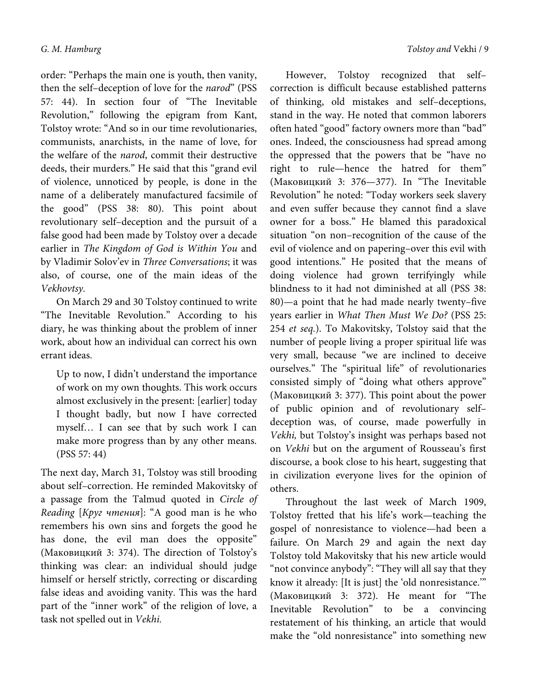order: "Perhaps the main one is youth, then vanity, then the self-deception of love for the narod" (PSS 57: 44). In section four of "The Inevitable Revolution," following the epigram from Kant, Tolstoy wrote: "And so in our time revolutionaries, communists, anarchists, in the name of love, for the welfare of the narod, commit their destructive deeds, their murders." He said that this "grand evil of violence, unnoticed by people, is done in the name of a deliberately manufactured facsimile of the good" (PSS 38: 80). This point about revolutionary self–deception and the pursuit of a false good had been made by Tolstoy over a decade earlier in The Kingdom of God is Within You and by Vladimir Solov'ev in Three Conversations; it was also, of course, one of the main ideas of the Vekhovtsy.

On March 29 and 30 Tolstoy continued to write "The Inevitable Revolution." According to his diary, he was thinking about the problem of inner work, about how an individual can correct his own errant ideas.

Up to now, I didn't understand the importance of work on my own thoughts. This work occurs almost exclusively in the present: [earlier] today I thought badly, but now I have corrected myself… I can see that by such work I can make more progress than by any other means. (PSS 57: 44)

The next day, March 31, Tolstoy was still brooding about self–correction. He reminded Makovitsky of a passage from the Talmud quoted in Circle of Reading [Круг чтения]: "A good man is he who remembers his own sins and forgets the good he has done, the evil man does the opposite" (Маковицкий 3: 374). The direction of Tolstoy's thinking was clear: an individual should judge himself or herself strictly, correcting or discarding false ideas and avoiding vanity. This was the hard part of the "inner work" of the religion of love, a task not spelled out in Vekhi.

However, Tolstoy recognized that self– correction is difficult because established patterns of thinking, old mistakes and self–deceptions, stand in the way. He noted that common laborers often hated "good" factory owners more than "bad" ones. Indeed, the consciousness had spread among the oppressed that the powers that be "have no right to rule—hence the hatred for them" (Маковицкий 3: 376—377). In "The Inevitable Revolution" he noted: "Today workers seek slavery and even suffer because they cannot find a slave owner for a boss." He blamed this paradoxical situation "on non–recognition of the cause of the evil of violence and on papering–over this evil with good intentions." He posited that the means of doing violence had grown terrifyingly while blindness to it had not diminished at all (PSS 38: 80)—a point that he had made nearly twenty–five years earlier in What Then Must We Do? (PSS 25: 254 et seq.). To Makovitsky, Tolstoy said that the number of people living a proper spiritual life was very small, because "we are inclined to deceive ourselves." The "spiritual life" of revolutionaries consisted simply of "doing what others approve" (Маковицкий 3: 377). This point about the power of public opinion and of revolutionary self– deception was, of course, made powerfully in Vekhi, but Tolstoy's insight was perhaps based not on Vekhi but on the argument of Rousseau's first discourse, a book close to his heart, suggesting that in civilization everyone lives for the opinion of others.

Throughout the last week of March 1909, Tolstoy fretted that his life's work—teaching the gospel of nonresistance to violence—had been a failure. On March 29 and again the next day Tolstoy told Makovitsky that his new article would "not convince anybody": "They will all say that they know it already: [It is just] the 'old nonresistance.'" (Маковицкий 3: 372). He meant for "The Inevitable Revolution" to be a convincing restatement of his thinking, an article that would make the "old nonresistance" into something new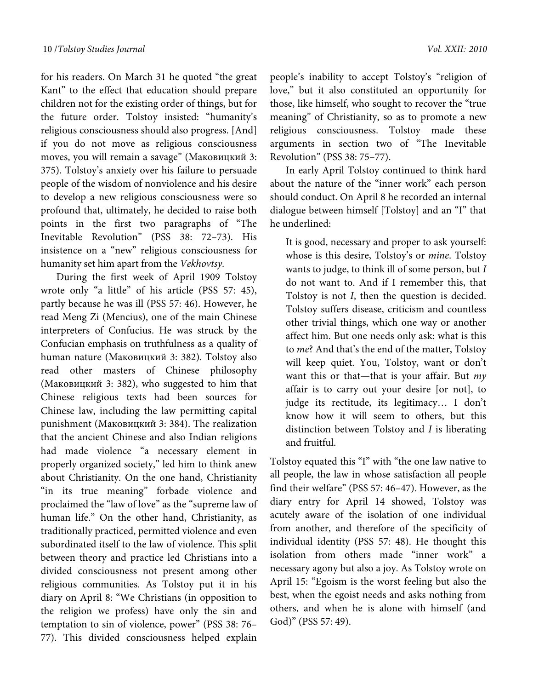for his readers. On March 31 he quoted "the great Kant" to the effect that education should prepare children not for the existing order of things, but for the future order. Tolstoy insisted: "humanity's religious consciousness should also progress. [And] if you do not move as religious consciousness moves, you will remain a savage" (Маковицкий 3: 375). Tolstoy's anxiety over his failure to persuade people of the wisdom of nonviolence and his desire to develop a new religious consciousness were so profound that, ultimately, he decided to raise both points in the first two paragraphs of "The Inevitable Revolution" (PSS 38: 72–73). His insistence on a "new" religious consciousness for humanity set him apart from the Vekhovtsy.

During the first week of April 1909 Tolstoy wrote only "a little" of his article (PSS 57: 45), partly because he was ill (PSS 57: 46). However, he read Meng Zi (Mencius), one of the main Chinese interpreters of Confucius. He was struck by the Confucian emphasis on truthfulness as a quality of human nature (Маковицкий 3: 382). Tolstoy also read other masters of Chinese philosophy (Маковицкий 3: 382), who suggested to him that Chinese religious texts had been sources for Chinese law, including the law permitting capital punishment (Маковицкий 3: 384). The realization that the ancient Chinese and also Indian religions had made violence "a necessary element in properly organized society," led him to think anew about Christianity. On the one hand, Christianity "in its true meaning" forbade violence and proclaimed the "law of love" as the "supreme law of human life." On the other hand, Christianity, as traditionally practiced, permitted violence and even subordinated itself to the law of violence. This split between theory and practice led Christians into a divided consciousness not present among other religious communities. As Tolstoy put it in his diary on April 8: "We Christians (in opposition to the religion we profess) have only the sin and temptation to sin of violence, power" (PSS 38: 76– 77). This divided consciousness helped explain

people's inability to accept Tolstoy's "religion of love," but it also constituted an opportunity for those, like himself, who sought to recover the "true meaning" of Christianity, so as to promote a new religious consciousness. Tolstoy made these arguments in section two of "The Inevitable Revolution" (PSS 38: 75–77).

In early April Tolstoy continued to think hard about the nature of the "inner work" each person should conduct. On April 8 he recorded an internal dialogue between himself [Tolstoy] and an "I" that he underlined:

It is good, necessary and proper to ask yourself: whose is this desire, Tolstoy's or mine. Tolstoy wants to judge, to think ill of some person, but I do not want to. And if I remember this, that Tolstoy is not I, then the question is decided. Tolstoy suffers disease, criticism and countless other trivial things, which one way or another affect him. But one needs only ask: what is this to me? And that's the end of the matter, Tolstoy will keep quiet. You, Tolstoy, want or don't want this or that—that is your affair. But  $my$ affair is to carry out your desire [or not], to judge its rectitude, its legitimacy… I don't know how it will seem to others, but this distinction between Tolstoy and  $I$  is liberating and fruitful.

Tolstoy equated this "I" with "the one law native to all people, the law in whose satisfaction all people find their welfare" (PSS 57: 46–47). However, as the diary entry for April 14 showed, Tolstoy was acutely aware of the isolation of one individual from another, and therefore of the specificity of individual identity (PSS 57: 48). He thought this isolation from others made "inner work" a necessary agony but also a joy. As Tolstoy wrote on April 15: "Egoism is the worst feeling but also the best, when the egoist needs and asks nothing from others, and when he is alone with himself (and God)" (PSS 57: 49).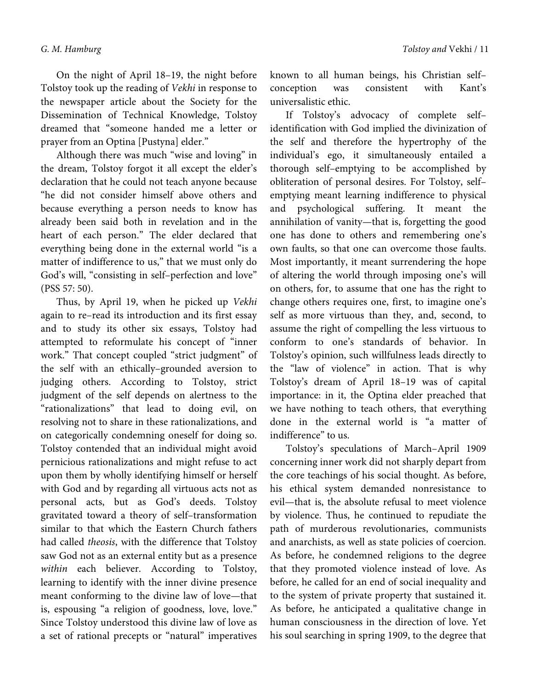On the night of April 18–19, the night before Tolstoy took up the reading of Vekhi in response to the newspaper article about the Society for the Dissemination of Technical Knowledge, Tolstoy dreamed that "someone handed me a letter or prayer from an Optina [Pustyna] elder."

Although there was much "wise and loving" in the dream, Tolstoy forgot it all except the elder's declaration that he could not teach anyone because "he did not consider himself above others and because everything a person needs to know has already been said both in revelation and in the heart of each person." The elder declared that everything being done in the external world "is a matter of indifference to us," that we must only do God's will, "consisting in self–perfection and love" (PSS 57: 50).

Thus, by April 19, when he picked up Vekhi again to re–read its introduction and its first essay and to study its other six essays, Tolstoy had attempted to reformulate his concept of "inner work." That concept coupled "strict judgment" of the self with an ethically–grounded aversion to judging others. According to Tolstoy, strict judgment of the self depends on alertness to the "rationalizations" that lead to doing evil, on resolving not to share in these rationalizations, and on categorically condemning oneself for doing so. Tolstoy contended that an individual might avoid pernicious rationalizations and might refuse to act upon them by wholly identifying himself or herself with God and by regarding all virtuous acts not as personal acts, but as God's deeds. Tolstoy gravitated toward a theory of self–transformation similar to that which the Eastern Church fathers had called theosis, with the difference that Tolstoy saw God not as an external entity but as a presence within each believer. According to Tolstoy, learning to identify with the inner divine presence meant conforming to the divine law of love—that is, espousing "a religion of goodness, love, love." Since Tolstoy understood this divine law of love as a set of rational precepts or "natural" imperatives

known to all human beings, his Christian self– conception was consistent with Kant's universalistic ethic.

If Tolstoy's advocacy of complete self– identification with God implied the divinization of the self and therefore the hypertrophy of the individual's ego, it simultaneously entailed a thorough self–emptying to be accomplished by obliteration of personal desires. For Tolstoy, self– emptying meant learning indifference to physical and psychological suffering. It meant the annihilation of vanity—that is, forgetting the good one has done to others and remembering one's own faults, so that one can overcome those faults. Most importantly, it meant surrendering the hope of altering the world through imposing one's will on others, for, to assume that one has the right to change others requires one, first, to imagine one's self as more virtuous than they, and, second, to assume the right of compelling the less virtuous to conform to one's standards of behavior. In Tolstoy's opinion, such willfulness leads directly to the "law of violence" in action. That is why Tolstoy's dream of April 18–19 was of capital importance: in it, the Optina elder preached that we have nothing to teach others, that everything done in the external world is "a matter of indifference" to us.

Tolstoy's speculations of March–April 1909 concerning inner work did not sharply depart from the core teachings of his social thought. As before, his ethical system demanded nonresistance to evil—that is, the absolute refusal to meet violence by violence. Thus, he continued to repudiate the path of murderous revolutionaries, communists and anarchists, as well as state policies of coercion. As before, he condemned religions to the degree that they promoted violence instead of love. As before, he called for an end of social inequality and to the system of private property that sustained it. As before, he anticipated a qualitative change in human consciousness in the direction of love. Yet his soul searching in spring 1909, to the degree that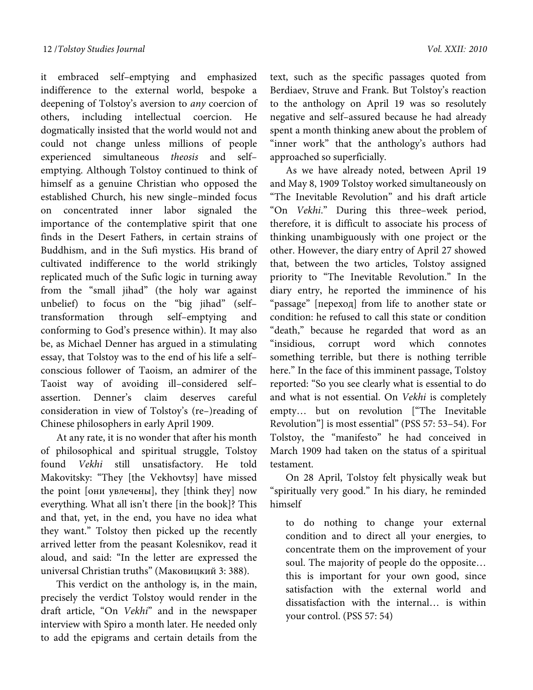it embraced self–emptying and emphasized indifference to the external world, bespoke a deepening of Tolstoy's aversion to any coercion of others, including intellectual coercion. He dogmatically insisted that the world would not and could not change unless millions of people experienced simultaneous theosis and self– emptying. Although Tolstoy continued to think of himself as a genuine Christian who opposed the established Church, his new single–minded focus on concentrated inner labor signaled the importance of the contemplative spirit that one finds in the Desert Fathers, in certain strains of Buddhism, and in the Sufi mystics. His brand of cultivated indifference to the world strikingly replicated much of the Sufic logic in turning away from the "small jihad" (the holy war against unbelief) to focus on the "big jihad" (self– transformation through self–emptying and conforming to God's presence within). It may also be, as Michael Denner has argued in a stimulating essay, that Tolstoy was to the end of his life a self– conscious follower of Taoism, an admirer of the Taoist way of avoiding ill–considered self– assertion. Denner's claim deserves careful consideration in view of Tolstoy's (re–)reading of Chinese philosophers in early April 1909.

At any rate, it is no wonder that after his month of philosophical and spiritual struggle, Tolstoy found Vekhi still unsatisfactory. He told Makovitsky: "They [the Vekhovtsy] have missed the point [они увлечены], they [think they] now everything. What all isn't there [in the book]? This and that, yet, in the end, you have no idea what they want." Tolstoy then picked up the recently arrived letter from the peasant Kolesnikov, read it aloud, and said: "In the letter are expressed the universal Christian truths" (Маковицкий 3: 388).

This verdict on the anthology is, in the main, precisely the verdict Tolstoy would render in the draft article, "On Vekhi" and in the newspaper interview with Spiro a month later. He needed only to add the epigrams and certain details from the

text, such as the specific passages quoted from Berdiaev, Struve and Frank. But Tolstoy's reaction to the anthology on April 19 was so resolutely negative and self–assured because he had already spent a month thinking anew about the problem of "inner work" that the anthology's authors had approached so superficially.

As we have already noted, between April 19 and May 8, 1909 Tolstoy worked simultaneously on "The Inevitable Revolution" and his draft article "On Vekhi." During this three–week period, therefore, it is difficult to associate his process of thinking unambiguously with one project or the other. However, the diary entry of April 27 showed that, between the two articles, Tolstoy assigned priority to "The Inevitable Revolution." In the diary entry, he reported the imminence of his "passage" [переход] from life to another state or condition: he refused to call this state or condition "death," because he regarded that word as an "insidious, corrupt word which connotes something terrible, but there is nothing terrible here." In the face of this imminent passage, Tolstoy reported: "So you see clearly what is essential to do and what is not essential. On Vekhi is completely empty… but on revolution ["The Inevitable Revolution"] is most essential" (PSS 57: 53–54). For Tolstoy, the "manifesto" he had conceived in March 1909 had taken on the status of a spiritual testament.

On 28 April, Tolstoy felt physically weak but "spiritually very good." In his diary, he reminded himself

to do nothing to change your external condition and to direct all your energies, to concentrate them on the improvement of your soul. The majority of people do the opposite… this is important for your own good, since satisfaction with the external world and dissatisfaction with the internal… is within your control. (PSS 57: 54)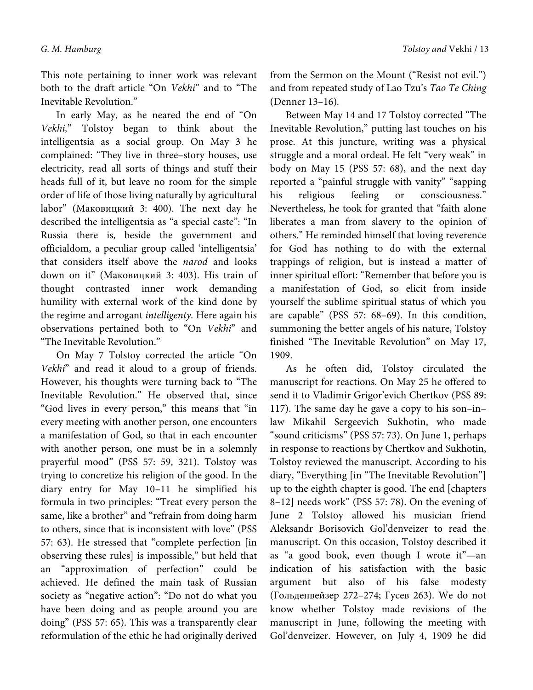This note pertaining to inner work was relevant both to the draft article "On Vekhi" and to "The Inevitable Revolution."

In early May, as he neared the end of "On Vekhi," Tolstoy began to think about the intelligentsia as a social group. On May 3 he complained: "They live in three–story houses, use electricity, read all sorts of things and stuff their heads full of it, but leave no room for the simple order of life of those living naturally by agricultural labor" (Маковицкий 3: 400). The next day he described the intelligentsia as "a special caste": "In Russia there is, beside the government and officialdom, a peculiar group called 'intelligentsia' that considers itself above the narod and looks down on it" (Маковицкий 3: 403). His train of thought contrasted inner work demanding humility with external work of the kind done by the regime and arrogant intelligenty. Here again his observations pertained both to "On Vekhi" and "The Inevitable Revolution."

On May 7 Tolstoy corrected the article "On Vekhi" and read it aloud to a group of friends. However, his thoughts were turning back to "The Inevitable Revolution." He observed that, since "God lives in every person," this means that "in every meeting with another person, one encounters a manifestation of God, so that in each encounter with another person, one must be in a solemnly prayerful mood" (PSS 57: 59, 321). Tolstoy was trying to concretize his religion of the good. In the diary entry for May 10–11 he simplified his formula in two principles: "Treat every person the same, like a brother" and "refrain from doing harm to others, since that is inconsistent with love" (PSS 57: 63). He stressed that "complete perfection [in observing these rules] is impossible," but held that an "approximation of perfection" could be achieved. He defined the main task of Russian society as "negative action": "Do not do what you have been doing and as people around you are doing" (PSS 57: 65). This was a transparently clear reformulation of the ethic he had originally derived from the Sermon on the Mount ("Resist not evil.") and from repeated study of Lao Tzu's Tao Te Ching (Denner 13–16).

Between May 14 and 17 Tolstoy corrected "The Inevitable Revolution," putting last touches on his prose. At this juncture, writing was a physical struggle and a moral ordeal. He felt "very weak" in body on May 15 (PSS 57: 68), and the next day reported a "painful struggle with vanity" "sapping his religious feeling or consciousness." Nevertheless, he took for granted that "faith alone liberates a man from slavery to the opinion of others." He reminded himself that loving reverence for God has nothing to do with the external trappings of religion, but is instead a matter of inner spiritual effort: "Remember that before you is a manifestation of God, so elicit from inside yourself the sublime spiritual status of which you are capable" (PSS 57: 68–69). In this condition, summoning the better angels of his nature, Tolstoy finished "The Inevitable Revolution" on May 17, 1909.

As he often did, Tolstoy circulated the manuscript for reactions. On May 25 he offered to send it to Vladimir Grigor'evich Chertkov (PSS 89: 117). The same day he gave a copy to his son–in– law Mikahil Sergeevich Sukhotin, who made "sound criticisms" (PSS 57: 73). On June 1, perhaps in response to reactions by Chertkov and Sukhotin, Tolstoy reviewed the manuscript. According to his diary, "Everything [in "The Inevitable Revolution"] up to the eighth chapter is good. The end [chapters 8–12] needs work" (PSS 57: 78). On the evening of June 2 Tolstoy allowed his musician friend Aleksandr Borisovich Gol'denveizer to read the manuscript. On this occasion, Tolstoy described it as "a good book, even though I wrote it"—an indication of his satisfaction with the basic argument but also of his false modesty (Гольденвейзер 272–274; Гусев 263). We do not know whether Tolstoy made revisions of the manuscript in June, following the meeting with Gol'denveizer. However, on July 4, 1909 he did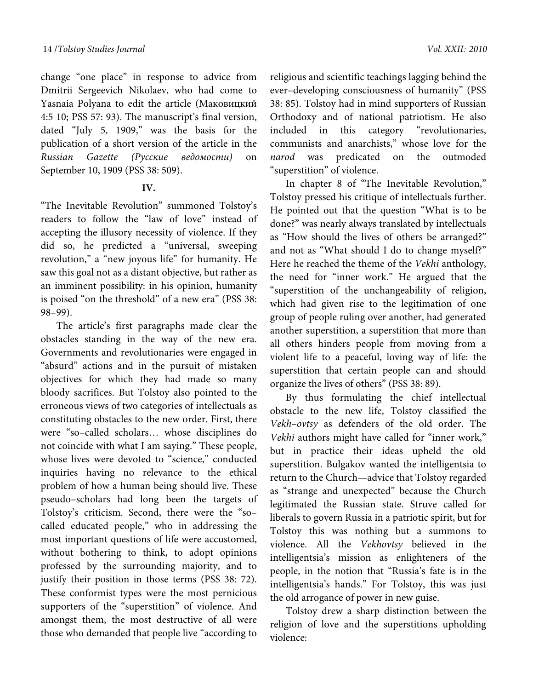change "one place" in response to advice from Dmitrii Sergeevich Nikolaev, who had come to Yasnaia Polyana to edit the article (Маковицкий 4:5 10; PSS 57: 93). The manuscript's final version, dated "July 5, 1909," was the basis for the publication of a short version of the article in the Russian Gazette (Русские ведомости) on September 10, 1909 (PSS 38: 509).

# **IV.**

"The Inevitable Revolution" summoned Tolstoy's readers to follow the "law of love" instead of accepting the illusory necessity of violence. If they did so, he predicted a "universal, sweeping revolution," a "new joyous life" for humanity. He saw this goal not as a distant objective, but rather as an imminent possibility: in his opinion, humanity is poised "on the threshold" of a new era" (PSS 38: 98–99).

The article's first paragraphs made clear the obstacles standing in the way of the new era. Governments and revolutionaries were engaged in "absurd" actions and in the pursuit of mistaken objectives for which they had made so many bloody sacrifices. But Tolstoy also pointed to the erroneous views of two categories of intellectuals as constituting obstacles to the new order. First, there were "so–called scholars… whose disciplines do not coincide with what I am saying." These people, whose lives were devoted to "science," conducted inquiries having no relevance to the ethical problem of how a human being should live. These pseudo–scholars had long been the targets of Tolstoy's criticism. Second, there were the "so– called educated people," who in addressing the most important questions of life were accustomed, without bothering to think, to adopt opinions professed by the surrounding majority, and to justify their position in those terms (PSS 38: 72). These conformist types were the most pernicious supporters of the "superstition" of violence. And amongst them, the most destructive of all were those who demanded that people live "according to

religious and scientific teachings lagging behind the ever–developing consciousness of humanity" (PSS 38: 85). Tolstoy had in mind supporters of Russian Orthodoxy and of national patriotism. He also included in this category "revolutionaries, communists and anarchists," whose love for the narod was predicated on the outmoded "superstition" of violence.

In chapter 8 of "The Inevitable Revolution," Tolstoy pressed his critique of intellectuals further. He pointed out that the question "What is to be done?" was nearly always translated by intellectuals as "How should the lives of others be arranged?" and not as "What should I do to change myself?" Here he reached the theme of the Vekhi anthology, the need for "inner work." He argued that the "superstition of the unchangeability of religion, which had given rise to the legitimation of one group of people ruling over another, had generated another superstition, a superstition that more than all others hinders people from moving from a violent life to a peaceful, loving way of life: the superstition that certain people can and should organize the lives of others" (PSS 38: 89).

By thus formulating the chief intellectual obstacle to the new life, Tolstoy classified the Vekh–ovtsy as defenders of the old order. The Vekhi authors might have called for "inner work," but in practice their ideas upheld the old superstition. Bulgakov wanted the intelligentsia to return to the Church—advice that Tolstoy regarded as "strange and unexpected" because the Church legitimated the Russian state. Struve called for liberals to govern Russia in a patriotic spirit, but for Tolstoy this was nothing but a summons to violence. All the Vekhovtsy believed in the intelligentsia's mission as enlighteners of the people, in the notion that "Russia's fate is in the intelligentsia's hands." For Tolstoy, this was just the old arrogance of power in new guise.

Tolstoy drew a sharp distinction between the religion of love and the superstitions upholding violence: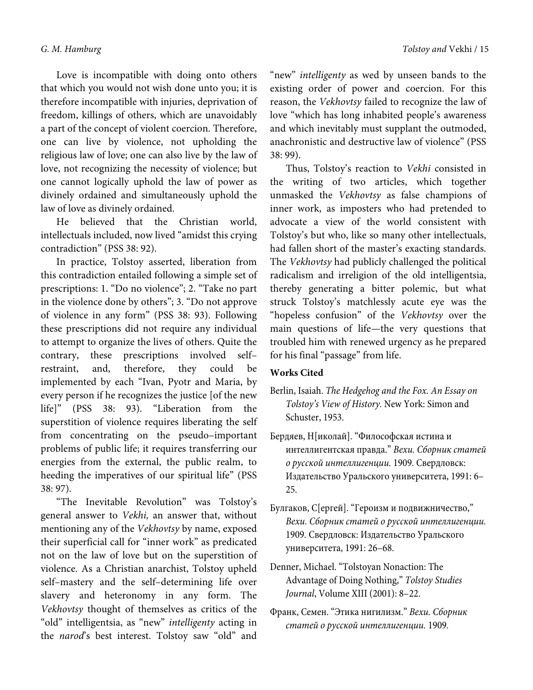Love is incompatible with doing onto others that which you would not wish done unto you; it is therefore incompatible with injuries, deprivation of freedom, killings of others, which are unavoidably a part of the concept of violent coercion. Therefore, one can live by violence, not upholding the religious law of love; one can also live by the law of love, not recognizing the necessity of violence; but one cannot logically uphold the law of power as divinely ordained and simultaneously uphold the law of love as divinely ordained.

He believed that the Christian world, intellectuals included, now lived "amidst this crying contradiction" (PSS 38: 92).

In practice, Tolstoy asserted, liberation from this contradiction entailed following a simple set of prescriptions: 1. "Do no violence"; 2. "Take no part in the violence done by others"; 3. "Do not approve of violence in any form" (PSS 38: 93). Following these prescriptions did not require any individual to attempt to organize the lives of others. Quite the contrary, these prescriptions involved self– restraint, and, therefore, they could be implemented by each "Ivan, Pyotr and Maria, by every person if he recognizes the justice [of the new life]" (PSS 38: 93). "Liberation from the superstition of violence requires liberating the self from concentrating on the pseudo–important problems of public life; it requires transferring our energies from the external, the public realm, to heeding the imperatives of our spiritual life" (PSS 38: 97).

"The Inevitable Revolution" was Tolstoy's general answer to Vekhi, an answer that, without mentioning any of the Vekhovtsy by name, exposed their superficial call for "inner work" as predicated not on the law of love but on the superstition of violence. As a Christian anarchist, Tolstoy upheld self–mastery and the self–determining life over slavery and heteronomy in any form. The Vekhovtsy thought of themselves as critics of the "old" intelligentsia, as "new" intelligenty acting in the narod's best interest. Tolstoy saw "old" and

"new" intelligenty as wed by unseen bands to the existing order of power and coercion. For this reason, the Vekhovtsy failed to recognize the law of love "which has long inhabited people's awareness and which inevitably must supplant the outmoded, anachronistic and destructive law of violence" (PSS 38: 99).

Thus, Tolstoy's reaction to Vekhi consisted in the writing of two articles, which together unmasked the Vekhovtsy as false champions of inner work, as imposters who had pretended to advocate a view of the world consistent with Tolstoy's but who, like so many other intellectuals, had fallen short of the master's exacting standards. The Vekhovtsy had publicly challenged the political radicalism and irreligion of the old intelligentsia, thereby generating a bitter polemic, but what struck Tolstoy's matchlessly acute eye was the "hopeless confusion" of the Vekhovtsy over the main questions of life—the very questions that troubled him with renewed urgency as he prepared for his final "passage" from life.

# **Works Cited**

- Berlin, Isaiah. *The Hedgehog and the Fox. An Essay on Tolstoy's View of History.* New York: Simon and Schuster, 1953.
- Бердяев, Н[иколай]. "Философская истина и интеллигентская правда." *Вехи. Сборник статей о русской интеллигенции.* 1909*.* Свердловск: Издательство Уральского университета, 1991: 6– 25.
- Булгаков, С[ергей]. "Героизм и подвижничество," *Вехи. Сборник статей о русской интеллигенции.*  1909*.* Свердловск: Издательство Уральского университета, 1991: 26–68.
- Denner, Michael. "Tolstoyan Nonaction: The Advantage of Doing Nothing," *Tolstoy Studies Journal*, Volume XIII (2001): 8–22.
- Франк, Семен. "Этика нигилизм." *Вехи. Сборник статей о русской интеллигенции.* 1909*.*